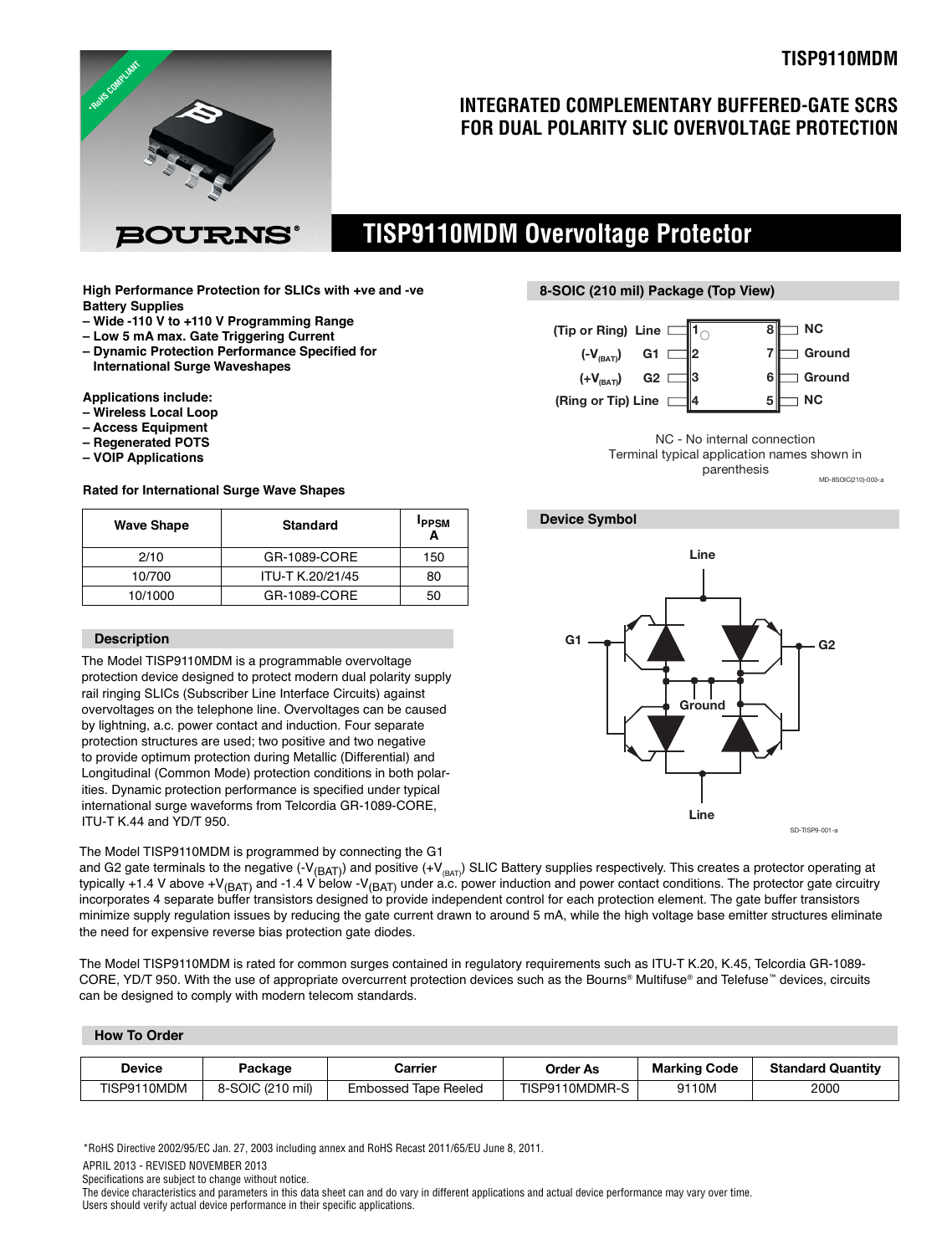

### **INTEGRATED COMPLEMENTARY BUFFERED-GATE SCRS FOR DUAL POLARITY SLIC OVERVOLTAGE PROTECTION**

### **TISP9110MDM Overvoltage Protector**

**High Performance Protection for SLICs with +ve and -ve Battery Supplies**

- **Wide -110 V to +110 V Programming Range**
- **Low 5 mA max. Gate Triggering Current**

130URNS

**– Dynamic Protection Performance Specified for International Surge Waveshapes**

**Applications include:**

- **Wireless Local Loop**
- **Access Equipment**
- **Regenerated POTS**
- **VOIP Applications**

#### **Rated for International Surge Wave Shapes**

| <b>Wave Shape</b> | <b>Standard</b>  | <b>IPPSM</b> |
|-------------------|------------------|--------------|
| 2/10              | GR-1089-CORE     | 150          |
| 10/700            | ITU-T K.20/21/45 | 80           |
| 10/1000           | GR-1089-CORE     | 50           |

#### **Description**

The Model TISP9110MDM is a programmable overvoltage protection device designed to protect modern dual polarity supply rail ringing SLICs (Subscriber Line Interface Circuits) against overvoltages on the telephone line. Overvoltages can be caused by lightning, a.c. power contact and induction. Four separate protection structures are used; two positive and two negative to provide optimum protection during Metallic (Differential) and Longitudinal (Common Mode) protection conditions in both polarities. Dynamic protection performance is specified under typical international surge waveforms from Telcordia GR-1089-CORE, ITU-T K.44 and YD/T 950.

The Model TISP9110MDM is programmed by connecting the G1

#### **8-SOIC (210 mil) Package (Top View)**



MD-8SOIC(210)-003-a NC - No internal connection Terminal typical application names shown in parenthesis

### **Device Symbol**



and G2 gate terminals to the negative (-V<sub>(BAT)</sub>) and positive (+V<sub>(BAT)</sub>) SLIC Battery supplies respectively. This creates a protector operating at typically +1.4 V above +V<sub>(BAT)</sub> and -1.4 V below -V<sub>(BAT)</sub> under a.c. power induction and power contact conditions. The protector gate circuitry incorporates 4 separate buffer transistors designed to provide independent control for each protection element. The gate buffer transistors minimize supply regulation issues by reducing the gate current drawn to around 5 mA, while the high voltage base emitter structures eliminate the need for expensive reverse bias protection gate diodes.

The Model TISP9110MDM is rated for common surges contained in regulatory requirements such as ITU-T K.20, K.45, Telcordia GR-1089- CORE, YD/T 950. With the use of appropriate overcurrent protection devices such as the Bourns® Multifuse® and Telefuse™ devices, circuits can be designed to comply with modern telecom standards.

#### **How To Order**

| Device      | Package          | Carrier                        | <b>Order As</b> | <b>Marking Code</b> | <b>Standard Quantity</b> |  |
|-------------|------------------|--------------------------------|-----------------|---------------------|--------------------------|--|
| TISP9110MDM | 8-SOIC (210 mil) | <b>Tape Reeled</b><br>Embossed | TISP9110MDMR-S  | 9110M               | 2000                     |  |

\*RoHS Directive 2002/95/EC Jan. 27, 2003 including annex and RoHS Recast 2011/65/EU June 8, 2011.

APRIL 2013 - REVISED NOVEMBER 2013

Specifications are subject to change without notice.

The device characteristics and parameters in this data sheet can and do vary in different applications and actual device performance may vary over time. Users should verify actual device performance in their specific applications.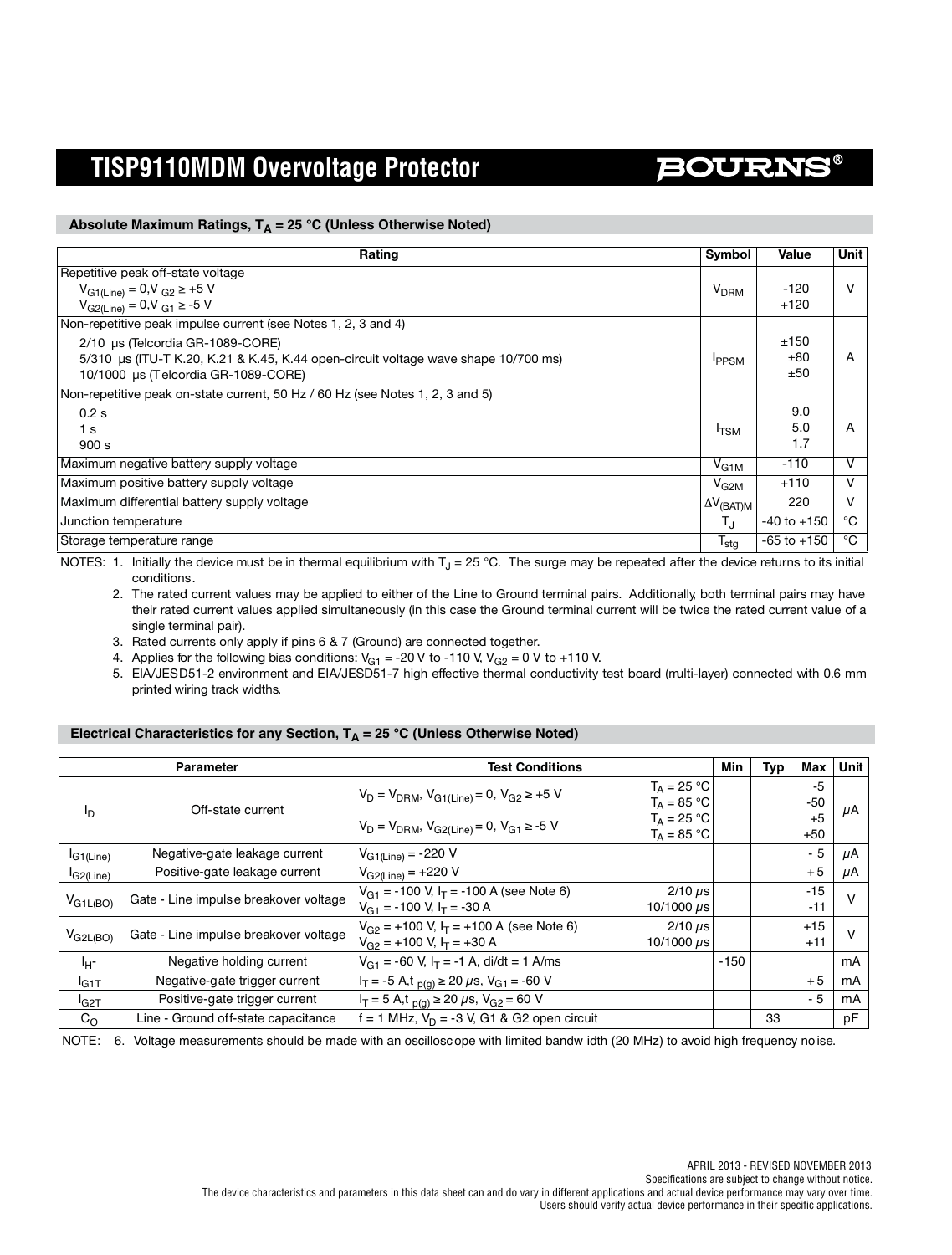# **BOURNS®**

#### Absolute Maximum Ratings,  $T_A = 25 °C$  (Unless Otherwise Noted)

| Rating                                                                             | <b>Symbol</b>       | Value           | Unit |
|------------------------------------------------------------------------------------|---------------------|-----------------|------|
| Repetitive peak off-state voltage                                                  |                     |                 |      |
| $V_{G1(Line)} = 0$ , $V_{G2} \ge +5$ V                                             |                     | $-120$          | v    |
| $V_{G2(Line)} = 0$ , $V_{G1} \ge -5$ V                                             |                     | $+120$          |      |
| Non-repetitive peak impulse current (see Notes 1, 2, 3 and 4)                      |                     |                 |      |
| 2/10 µs (Telcordia GR-1089-CORE)                                                   |                     | ±150            |      |
| 5/310 µs (ITU-T K.20, K.21 & K.45, K.44 open-circuit voltage wave shape 10/700 ms) | <b>IPPSM</b>        | ±80             | A    |
| 10/1000 µs (Telcordia GR-1089-CORE)                                                |                     | ±50             |      |
| Non-repetitive peak on-state current, 50 Hz / 60 Hz (see Notes 1, 2, 3 and 5)      |                     |                 |      |
| 0.2 s                                                                              |                     | 9.0             |      |
| 1 <sub>s</sub>                                                                     | <sup>I</sup> TSM    | 5.0             | A    |
| 900 s                                                                              |                     | 1.7             |      |
| Maximum negative battery supply voltage                                            | $V_{G1M}$           | $-110$          | v    |
| Maximum positive battery supply voltage                                            | $V_{G2M}$           | $+110$          | v    |
| Maximum differential battery supply voltage                                        | $\Delta V_{(BAT)M}$ | 220             |      |
| Junction temperature                                                               |                     | $-40$ to $+150$ | °C   |
| Storage temperature range                                                          |                     | $-65$ to $+150$ | °C   |

NOTES: 1. Initially the device must be in thermal equilibrium with  $T<sub>J</sub> = 25 °C$ . The surge may be repeated after the device returns to its initial conditions.

2. The rated current values may be applied to either of the Line to Ground terminal pairs. Additionally, both terminal pairs may have their rated current values applied simultaneously (in this case the Ground terminal current will be twice the rated current value of a single terminal pair).

3. Rated currents only apply if pins 6 & 7 (Ground) are connected together.

4. Applies for the following bias conditions:  $V_{G1}$  = -20 V to -110 V,  $V_{G2}$  = 0 V to +110 V.

5. EIA/JESD51-2 environment and EIA/JESD51-7 high effective thermal conductivity test board (multi-layer) connected with 0.6 mm printed wiring track widths.

#### Electrical Characteristics for any Section, T<sub>A</sub> = 25 °C (Unless Otherwise Noted)

|                       | <b>Parameter</b>                      | <b>Test Conditions</b>                                                                      |                                 | Min    | Typ | Max            | Unit   |
|-----------------------|---------------------------------------|---------------------------------------------------------------------------------------------|---------------------------------|--------|-----|----------------|--------|
|                       | Off-state current                     | $V_D = V_{DRM}$ , $V_{G1(Line)} = 0$ , $V_{G2} \ge +5$ V                                    | $T_A = 25 °C$<br>$T_A = 85 °C$  |        |     | -5<br>-50      | μA     |
| ٥ŀ                    |                                       | $V_D = V_{DRM}$ , $V_{G2(Line)} = 0$ , $V_{G1} \ge -5$ V                                    | $T_A = 25 °C$<br>$T_A = 85 °C$  |        |     | $+5$<br>+50    |        |
| <sup>I</sup> G1(Line) | Negative-gate leakage current         | $V_{G1(Line)} = -220 V$                                                                     |                                 |        |     | - 5            | μA     |
| <sup>I</sup> G2(Line) | Positive-gate leakage current         | $V_{G2(Line)} = +220 V$                                                                     |                                 |        |     | $+5$           | μA     |
| $V_{G1L(BO)}$         | Gate - Line impulse breakover voltage | $V_{G1}$ = -100 V, I <sub>T</sub> = -100 A (see Note 6)<br>$V_{G1}$ = -100 V, $I_T$ = -30 A | $2/10 \mu s$<br>10/1000 $\mu$ s |        |     | $-15$<br>$-11$ | $\vee$ |
| $V_{G2L(BO)}$         | Gate - Line impulse breakover voltage | $V_{G2}$ = +100 V, $I_T$ = +100 A (see Note 6)<br>$V_{G2}$ = +100 V, $I_T$ = +30 A          | $2/10 \mu s$<br>10/1000 us      |        |     | $+15$<br>$+11$ | ν      |
| Чr                    | Negative holding current              | $V_{G1}$ = -60 V, I <sub>T</sub> = -1 A, di/dt = 1 A/ms                                     |                                 | $-150$ |     |                | mA     |
| $I_{G1T}$             | Negative-gate trigger current         | $I_T = -5$ A,t $_{D(G)} \ge 20 \mu s$ , V <sub>G1</sub> = -60 V                             |                                 |        |     | $+5$           | mA     |
| $I_{G2T}$             | Positive-gate trigger current         | $I_T = 5$ A,t $_{D(G)} \ge 20$ µs, $V_{G2} = 60$ V                                          |                                 |        |     | - 5            | mA     |
| $C_{\rm O}$           | Line - Ground off-state capacitance   | f = 1 MHz, $V_D$ = -3 V, G1 & G2 open circuit                                               |                                 |        | 33  |                | рF     |

NOTE: 6. Voltage measurements should be made with an oscillosc ope with limited bandw idth (20 MHz) to avoid high frequency noise.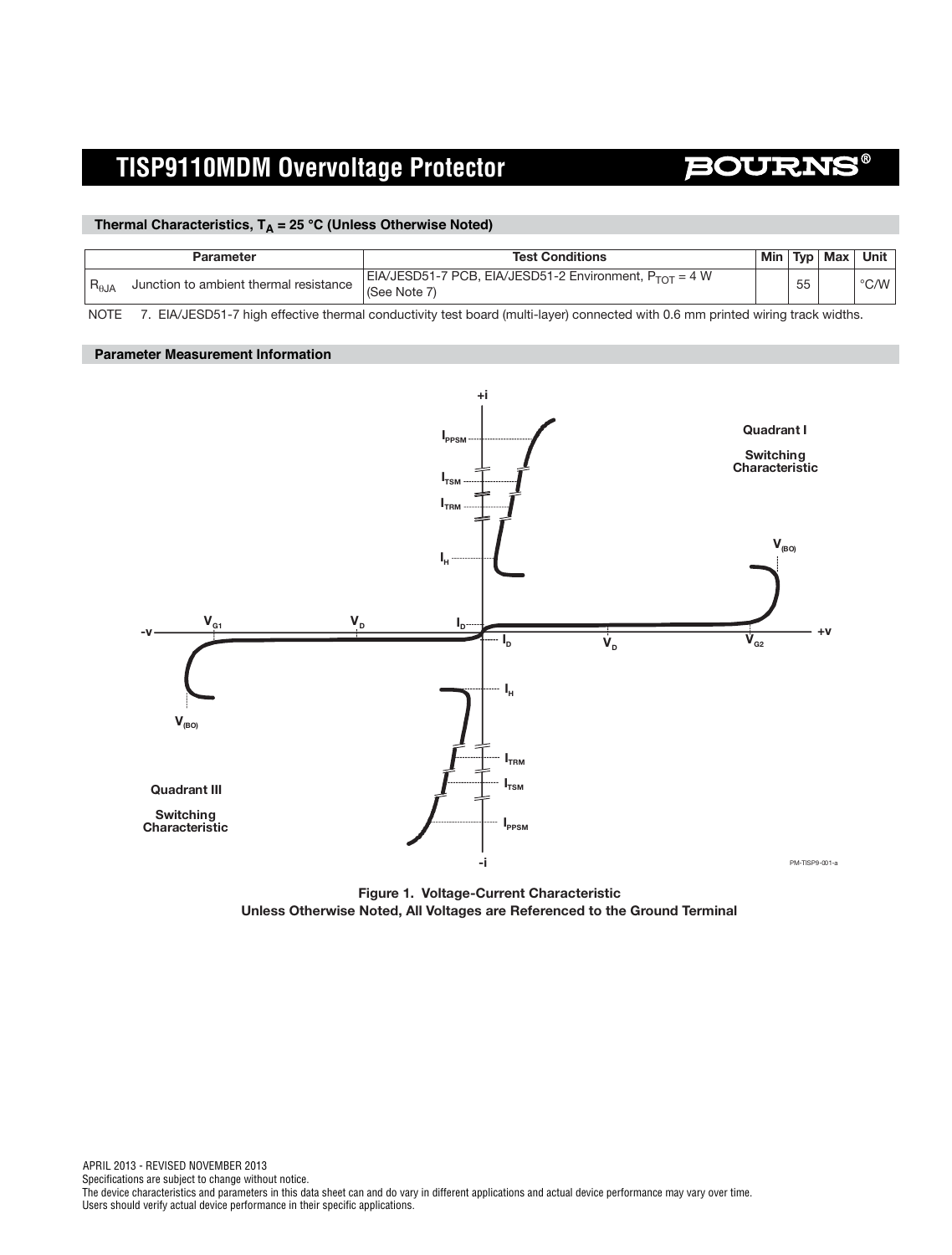### BOURN

#### Thermal Characteristics, T<sub>A</sub> = 25 °C (Unless Otherwise Noted)

|                | Parameter                              | <b>Test Conditions</b>                                                      |    | Min   Typ   Max   Unit |
|----------------|----------------------------------------|-----------------------------------------------------------------------------|----|------------------------|
| $R_{\theta$ JA | Junction to ambient thermal resistance | EIA/JESD51-7 PCB, EIA/JESD51-2 Environment, $P_{TOT} = 4 W$<br>(See Note 7) | 55 | $\degree$ C/W          |

NOTE 7. EIA/JESD51-7 high effective thermal conductivity test board (multi-layer) connected with 0.6 mm printed wiring track widths.

#### **Parameter Measurement Information**



**Figure 1. Voltage-Current Characteristic Unless Otherwise Noted, All Voltages are Referenced to the Ground Terminal**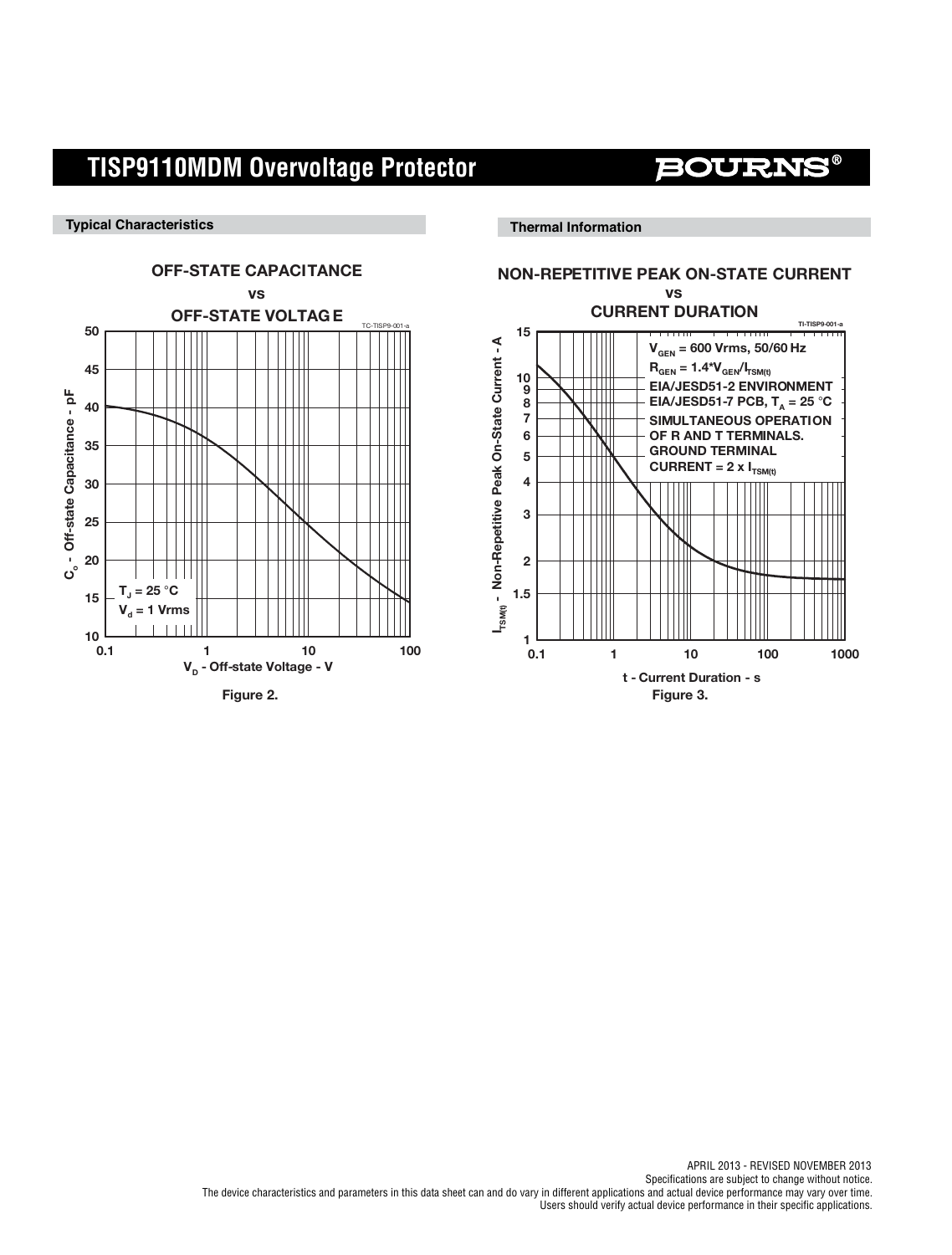**BOURN** 

**Typical Characteristics**

**Thermal Information**